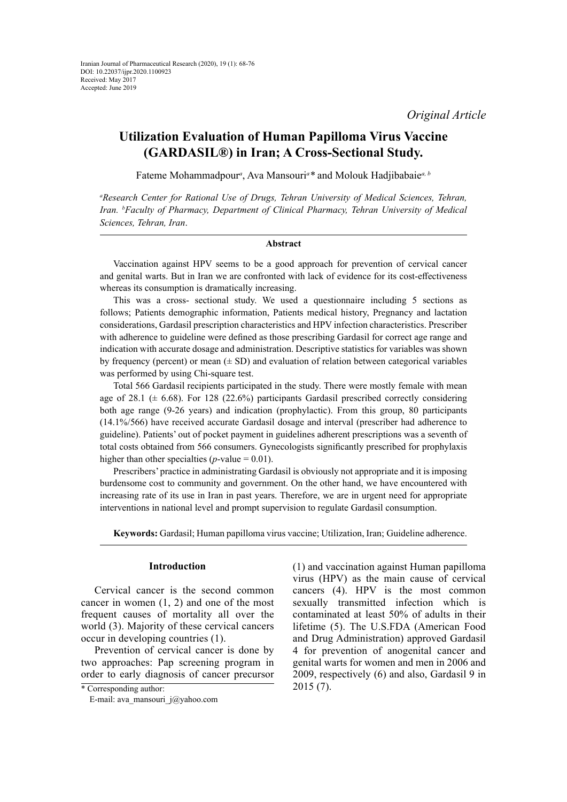*Original Article*

# **Utilization Evaluation of Human Papilloma Virus Vaccine (GARDASIL®) in Iran; A Cross-Sectional Study.**

Fateme Mohammadpour<sup>a</sup>, Ava Mansouri<sup>a</sup>\* and Molouk Hadjibabaie<sup>a, b</sup>

*a Research Center for Rational Use of Drugs, Tehran University of Medical Sciences, Tehran,*  Iran. <sup>*b*</sup> Faculty of Pharmacy, Department of Clinical Pharmacy, Tehran University of Medical *Sciences, Tehran, Iran*.

# **Abstract**

Vaccination against HPV seems to be a good approach for prevention of cervical cancer and genital warts. But in Iran we are confronted with lack of evidence for its cost-effectiveness whereas its consumption is dramatically increasing.

This was a cross- sectional study. We used a questionnaire including 5 sections as follows; Patients demographic information, Patients medical history, Pregnancy and lactation considerations, Gardasil prescription characteristics and HPV infection characteristics. Prescriber with adherence to guideline were defined as those prescribing Gardasil for correct age range and indication with accurate dosage and administration. Descriptive statistics for variables was shown by frequency (percent) or mean  $(\pm SD)$  and evaluation of relation between categorical variables was performed by using Chi-square test.

Total 566 Gardasil recipients participated in the study. There were mostly female with mean age of 28.1 ( $\pm$  6.68). For 128 (22.6%) participants Gardasil prescribed correctly considering both age range (9-26 years) and indication (prophylactic). From this group, 80 participants (14.1%/566) have received accurate Gardasil dosage and interval (prescriber had adherence to guideline). Patients' out of pocket payment in guidelines adherent prescriptions was a seventh of total costs obtained from 566 consumers. Gynecologists significantly prescribed for prophylaxis higher than other specialties ( $p$ -value = 0.01).

Prescribers' practice in administrating Gardasil is obviously not appropriate and it is imposing burdensome cost to community and government. On the other hand, we have encountered with increasing rate of its use in Iran in past years. Therefore, we are in urgent need for appropriate interventions in national level and prompt supervision to regulate Gardasil consumption.

**Keywords:** Gardasil; Human papilloma virus vaccine; Utilization, Iran; Guideline adherence.

# **Introduction**

Cervical cancer is the second common cancer in women (1, 2) and one of the most frequent causes of mortality all over the world (3). Majority of these cervical cancers occur in developing countries (1).

Prevention of cervical cancer is done by two approaches: Pap screening program in order to early diagnosis of cancer precursor (1) and vaccination against Human papilloma virus (HPV) as the main cause of cervical cancers (4). HPV is the most common sexually transmitted infection which is contaminated at least 50% of adults in their lifetime (5). The U.S.FDA (American Food and Drug Administration) approved Gardasil 4 for prevention of anogenital cancer and genital warts for women and men in 2006 and 2009, respectively (6) and also, Gardasil 9 in 2015 (7).

<sup>\*</sup> Corresponding author: E-mail: ava\_mansouri\_j@yahoo.com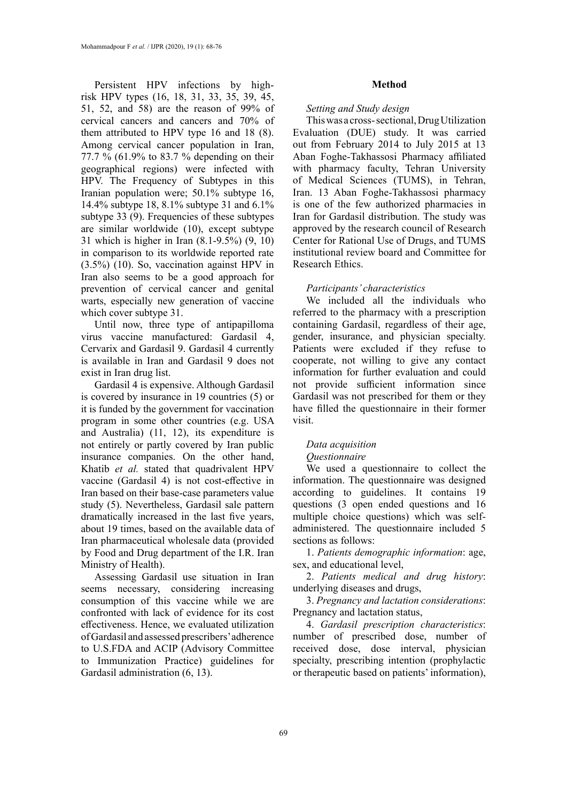Persistent HPV infections by highrisk HPV types (16, 18, 31, 33, 35, 39, 45, 51, 52, and 58) are the reason of 99% of cervical cancers and cancers and 70% of them attributed to HPV type 16 and 18 (8). Among cervical cancer population in Iran, 77.7 % (61.9% to 83.7 % depending on their geographical regions) were infected with HPV. The Frequency of Subtypes in this Iranian population were; 50.1% subtype 16, 14.4% subtype 18, 8.1% subtype 31 and 6.1% subtype 33 (9). Frequencies of these subtypes are similar worldwide (10), except subtype 31 which is higher in Iran (8.1-9.5%) (9, 10) in comparison to its worldwide reported rate (3.5%) (10). So, vaccination against HPV in Iran also seems to be a good approach for prevention of cervical cancer and genital warts, especially new generation of vaccine which cover subtype 31.

Until now, three type of antipapilloma virus vaccine manufactured: Gardasil 4, Cervarix and Gardasil 9. Gardasil 4 currently is available in Iran and Gardasil 9 does not exist in Iran drug list.

Gardasil 4 is expensive. Although Gardasil is covered by insurance in 19 countries (5) or it is funded by the government for vaccination program in some other countries (e.g. USA and Australia) (11, 12), its expenditure is not entirely or partly covered by Iran public insurance companies. On the other hand, Khatib *et al.* stated that quadrivalent HPV vaccine (Gardasil 4) is not cost-effective in Iran based on their base-case parameters value study (5). Nevertheless, Gardasil sale pattern dramatically increased in the last five years, about 19 times, based on the available data of Iran pharmaceutical wholesale data (provided by Food and Drug department of the I.R. Iran Ministry of Health).

Assessing Gardasil use situation in Iran seems necessary, considering increasing consumption of this vaccine while we are confronted with lack of evidence for its cost effectiveness. Hence, we evaluated utilization of Gardasil and assessed prescribers' adherence to U.S.FDA and ACIP (Advisory Committee to Immunization Practice) guidelines for Gardasil administration (6, 13).

#### **Method**

### *Setting and Study design*

This was a cross- sectional, Drug Utilization Evaluation (DUE) study. It was carried out from February 2014 to July 2015 at 13 Aban Foghe-Takhassosi Pharmacy affiliated with pharmacy faculty, Tehran University of Medical Sciences (TUMS), in Tehran, Iran. 13 Aban Foghe-Takhassosi pharmacy is one of the few authorized pharmacies in Iran for Gardasil distribution. The study was approved by the research council of Research Center for Rational Use of Drugs, and TUMS institutional review board and Committee for Research Ethics.

### *Participants' characteristics*

We included all the individuals who referred to the pharmacy with a prescription containing Gardasil, regardless of their age, gender, insurance, and physician specialty. Patients were excluded if they refuse to cooperate, not willing to give any contact information for further evaluation and could not provide sufficient information since Gardasil was not prescribed for them or they have filled the questionnaire in their former visit.

# *Data acquisition*

#### *Questionnaire*

We used a questionnaire to collect the information. The questionnaire was designed according to guidelines. It contains 19 questions (3 open ended questions and 16 multiple choice questions) which was selfadministered. The questionnaire included 5 sections as follows:

1. *Patients demographic information*: age, sex, and educational level,

2. *Patients medical and drug history*: underlying diseases and drugs,

3. *Pregnancy and lactation considerations*: Pregnancy and lactation status,

4. *Gardasil prescription characteristics*: number of prescribed dose, number of received dose, dose interval, physician specialty, prescribing intention (prophylactic or therapeutic based on patients' information),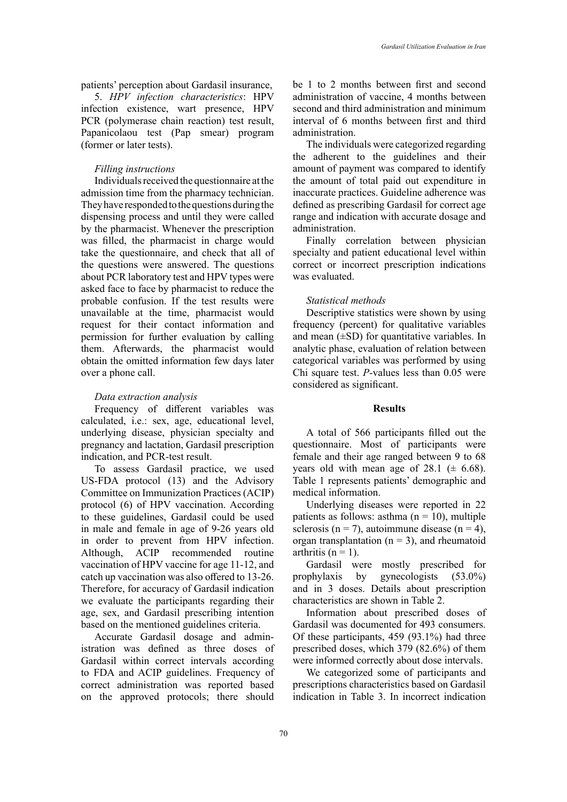patients' perception about Gardasil insurance,

5. *HPV infection characteristics*: HPV infection existence, wart presence, HPV PCR (polymerase chain reaction) test result, Papanicolaou test (Pap smear) program (former or later tests).

# *Filling instructions*

Individuals received the questionnaire at the admission time from the pharmacy technician. They have responded to the questions during the dispensing process and until they were called by the pharmacist. Whenever the prescription was filled, the pharmacist in charge would take the questionnaire, and check that all of the questions were answered. The questions about PCR laboratory test and HPV types were asked face to face by pharmacist to reduce the probable confusion. If the test results were unavailable at the time, pharmacist would request for their contact information and permission for further evaluation by calling them. Afterwards, the pharmacist would obtain the omitted information few days later over a phone call.

# *Data extraction analysis*

Frequency of different variables was calculated, i.e.: sex, age, educational level, underlying disease, physician specialty and pregnancy and lactation, Gardasil prescription indication, and PCR-test result.

To assess Gardasil practice, we used US-FDA protocol (13) and the Advisory Committee on Immunization Practices (ACIP) protocol (6) of HPV vaccination. According to these guidelines, Gardasil could be used in male and female in age of 9-26 years old in order to prevent from HPV infection. Although, ACIP recommended routine vaccination of HPV vaccine for age 11-12, and catch up vaccination was also offered to 13-26. Therefore, for accuracy of Gardasil indication we evaluate the participants regarding their age, sex, and Gardasil prescribing intention based on the mentioned guidelines criteria.

Accurate Gardasil dosage and administration was defined as three doses of Gardasil within correct intervals according to FDA and ACIP guidelines. Frequency of correct administration was reported based on the approved protocols; there should

be 1 to 2 months between first and second administration of vaccine, 4 months between second and third administration and minimum interval of 6 months between first and third administration.

The individuals were categorized regarding the adherent to the guidelines and their amount of payment was compared to identify the amount of total paid out expenditure in inaccurate practices. Guideline adherence was defined as prescribing Gardasil for correct age range and indication with accurate dosage and administration.

Finally correlation between physician specialty and patient educational level within correct or incorrect prescription indications was evaluated.

# *Statistical methods*

Descriptive statistics were shown by using frequency (percent) for qualitative variables and mean  $(\pm SD)$  for quantitative variables. In analytic phase, evaluation of relation between categorical variables was performed by using Chi square test. *P*-values less than 0.05 were considered as significant.

#### **Results**

A total of 566 participants filled out the questionnaire. Most of participants were female and their age ranged between 9 to 68 years old with mean age of 28.1 ( $\pm$  6.68). Table 1 represents patients' demographic and medical information.

Underlying diseases were reported in 22 patients as follows: asthma  $(n = 10)$ , multiple sclerosis (n = 7), autoimmune disease (n = 4), organ transplantation  $(n = 3)$ , and rheumatoid arthritis ( $n = 1$ ).

Gardasil were mostly prescribed for prophylaxis by gynecologists (53.0%) and in 3 doses. Details about prescription characteristics are shown in Table 2.

Information about prescribed doses of Gardasil was documented for 493 consumers. Of these participants, 459 (93.1%) had three prescribed doses, which 379 (82.6%) of them were informed correctly about dose intervals.

We categorized some of participants and prescriptions characteristics based on Gardasil indication in Table 3. In incorrect indication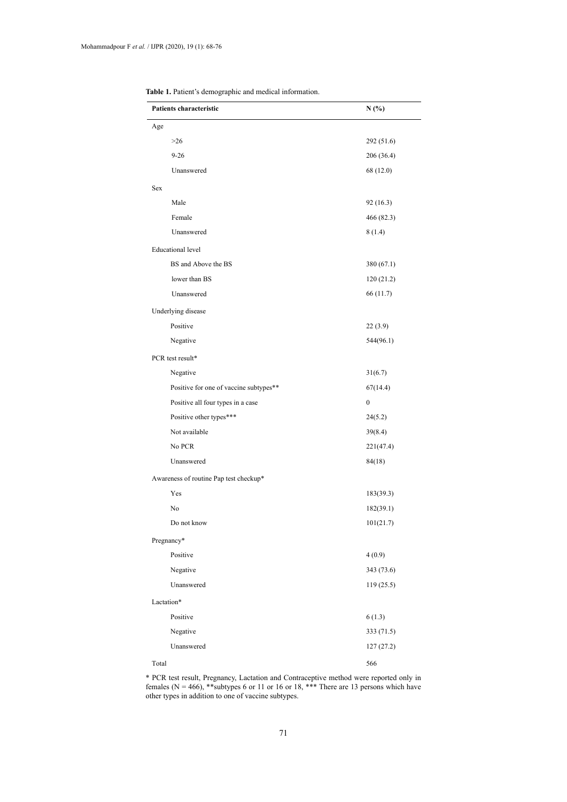| Patients characteristic                | N(%)       |  |
|----------------------------------------|------------|--|
| Age                                    |            |  |
| $>26$                                  | 292 (51.6) |  |
| $9 - 26$                               | 206 (36.4) |  |
| Unanswered                             | 68 (12.0)  |  |
| Sex                                    |            |  |
| Male                                   | 92(16.3)   |  |
| Female                                 | 466 (82.3) |  |
| Unanswered                             | 8(1.4)     |  |
| <b>Educational level</b>               |            |  |
| BS and Above the BS                    | 380 (67.1) |  |
| lower than BS                          | 120(21.2)  |  |
| Unanswered                             | 66 (11.7)  |  |
| Underlying disease                     |            |  |
| Positive                               | 22(3.9)    |  |
| Negative                               | 544(96.1)  |  |
| PCR test result*                       |            |  |
| Negative                               | 31(6.7)    |  |
| Positive for one of vaccine subtypes** | 67(14.4)   |  |
| Positive all four types in a case      | 0          |  |
| Positive other types***                | 24(5.2)    |  |
| Not available                          | 39(8.4)    |  |
| No PCR                                 | 221(47.4)  |  |
| Unanswered                             | 84(18)     |  |
| Awareness of routine Pap test checkup* |            |  |
| Yes                                    | 183(39.3)  |  |
| No                                     | 182(39.1)  |  |
| Do not know                            | 101(21.7)  |  |
| Pregnancy*                             |            |  |
| Positive                               | 4(0.9)     |  |
| Negative                               | 343 (73.6) |  |
| Unanswered                             | 119(25.5)  |  |
| Lactation*                             |            |  |
| Positive                               | 6(1.3)     |  |
| Negative                               | 333 (71.5) |  |
| Unanswered                             | 127(27.2)  |  |
| Total                                  | 566        |  |

**Table 1.** Patient's demographic and medical information.

other types in addition to one of vaccine subtypes. \* PCR test result, Pregnancy, Lactation and Contraceptive method were reported only in females ( $N = 466$ ), \*\*subtypes 6 or 11 or 16 or 18, \*\*\* There are 13 persons which have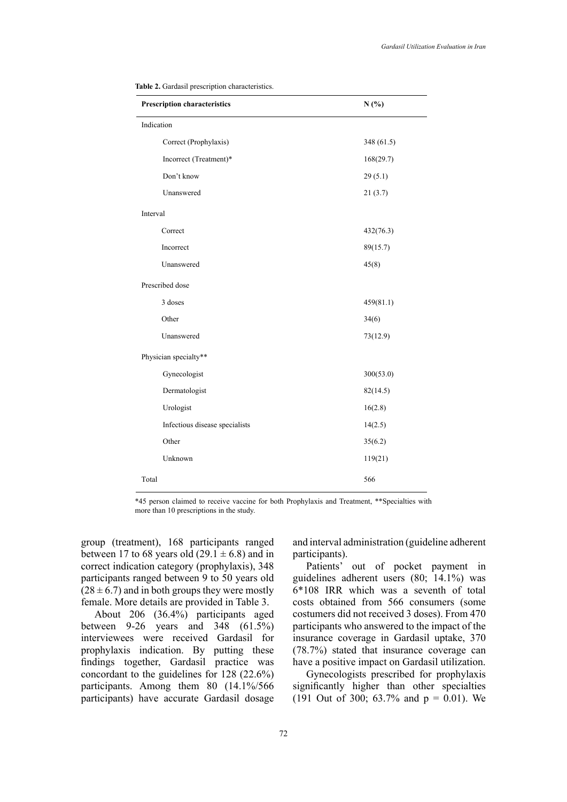| <b>Prescription characteristics</b> | N(%)       |  |  |  |  |
|-------------------------------------|------------|--|--|--|--|
| Indication                          |            |  |  |  |  |
| Correct (Prophylaxis)               | 348 (61.5) |  |  |  |  |
| Incorrect (Treatment)*              | 168(29.7)  |  |  |  |  |
| Don't know                          | 29(5.1)    |  |  |  |  |
| Unanswered                          | 21(3.7)    |  |  |  |  |
| Interval                            |            |  |  |  |  |
| Correct                             | 432(76.3)  |  |  |  |  |
| Incorrect                           | 89(15.7)   |  |  |  |  |
| Unanswered                          | 45(8)      |  |  |  |  |
| Prescribed dose                     |            |  |  |  |  |
| 3 doses                             | 459(81.1)  |  |  |  |  |
| Other                               | 34(6)      |  |  |  |  |
| Unanswered                          | 73(12.9)   |  |  |  |  |
| Physician specialty**               |            |  |  |  |  |
| Gynecologist                        | 300(53.0)  |  |  |  |  |
| Dermatologist                       | 82(14.5)   |  |  |  |  |
| Urologist                           | 16(2.8)    |  |  |  |  |
| Infectious disease specialists      | 14(2.5)    |  |  |  |  |
| Other                               | 35(6.2)    |  |  |  |  |
| Unknown                             | 119(21)    |  |  |  |  |
| Total                               | 566        |  |  |  |  |

|  | Table 2. Gardasil prescription characteristics. |
|--|-------------------------------------------------|
|  |                                                 |

\*45 person claimed to receive vaccine for both Prophylaxis and Treatment, \*\*Specialties with more than 10 prescriptions in the study.

group (treatment), 168 participants ranged between 17 to 68 years old  $(29.1 \pm 6.8)$  and in correct indication category (prophylaxis), 348 participants ranged between 9 to 50 years old  $(28 \pm 6.7)$  and in both groups they were mostly female. More details are provided in Table 3.

About 206 (36.4%) participants aged between 9-26 years and 348 (61.5%) interviewees were received Gardasil for prophylaxis indication. By putting these findings together, Gardasil practice was concordant to the guidelines for 128 (22.6%) participants. Among them 80 (14.1%/566 participants) have accurate Gardasil dosage

and interval administration (guideline adherent participants).

Patients' out of pocket payment in guidelines adherent users (80; 14.1%) was 6\*108 IRR which was a seventh of total costs obtained from 566 consumers (some costumers did not received 3 doses). From 470 participants who answered to the impact of the insurance coverage in Gardasil uptake, 370 (78.7%) stated that insurance coverage can have a positive impact on Gardasil utilization.

Gynecologists prescribed for prophylaxis significantly higher than other specialties (191 Out of 300; 63.7% and  $p = 0.01$ ). We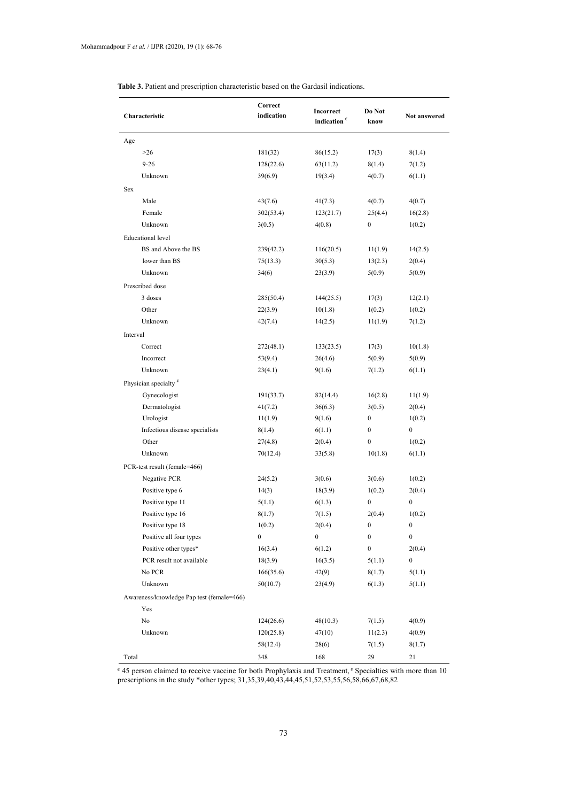| Characteristic                            | Correct<br>indication | Incorrect<br>indication $\epsilon$ | Do Not<br>know   | Not answered     |
|-------------------------------------------|-----------------------|------------------------------------|------------------|------------------|
| Age                                       |                       |                                    |                  |                  |
| $>26$                                     | 181(32)               | 86(15.2)                           | 17(3)            | 8(1.4)           |
| $9 - 26$                                  | 128(22.6)             | 63(11.2)                           | 8(1.4)           | 7(1.2)           |
| Unknown                                   | 39(6.9)               | 19(3.4)                            | 4(0.7)           | 6(1.1)           |
| Sex                                       |                       |                                    |                  |                  |
| Male                                      | 43(7.6)               | 41(7.3)                            | 4(0.7)           | 4(0.7)           |
| Female                                    | 302(53.4)             | 123(21.7)                          | 25(4.4)          | 16(2.8)          |
| Unknown                                   | 3(0.5)                | 4(0.8)                             | $\boldsymbol{0}$ | 1(0.2)           |
| <b>Educational</b> level                  |                       |                                    |                  |                  |
| BS and Above the BS                       | 239(42.2)             | 116(20.5)                          | 11(1.9)          | 14(2.5)          |
| lower than BS                             | 75(13.3)              | 30(5.3)                            | 13(2.3)          | 2(0.4)           |
| Unknown                                   | 34(6)                 | 23(3.9)                            | 5(0.9)           | 5(0.9)           |
| Prescribed dose                           |                       |                                    |                  |                  |
| 3 doses                                   | 285(50.4)             | 144(25.5)                          | 17(3)            | 12(2.1)          |
| Other                                     | 22(3.9)               | 10(1.8)                            | 1(0.2)           | 1(0.2)           |
| Unknown                                   | 42(7.4)               | 14(2.5)                            | 11(1.9)          | 7(1.2)           |
| Interval                                  |                       |                                    |                  |                  |
| Correct                                   | 272(48.1)             | 133(23.5)                          | 17(3)            | 10(1.8)          |
| Incorrect                                 | 53(9.4)               | 26(4.6)                            | 5(0.9)           | 5(0.9)           |
| Unknown                                   | 23(4.1)               | 9(1.6)                             | 7(1.2)           | 6(1.1)           |
| Physician specialty <sup>¥</sup>          |                       |                                    |                  |                  |
| Gynecologist                              | 191(33.7)             | 82(14.4)                           | 16(2.8)          | 11(1.9)          |
| Dermatologist                             | 41(7.2)               | 36(6.3)                            | 3(0.5)           | 2(0.4)           |
| Urologist                                 | 11(1.9)               | 9(1.6)                             | $\boldsymbol{0}$ | 1(0.2)           |
| Infectious disease specialists            | 8(1.4)                | 6(1.1)                             | $\boldsymbol{0}$ | $\boldsymbol{0}$ |
| Other                                     | 27(4.8)               | 2(0.4)                             | $\boldsymbol{0}$ | 1(0.2)           |
| Unknown                                   | 70(12.4)              | 33(5.8)                            | 10(1.8)          | 6(1.1)           |
| PCR-test result (female=466)              |                       |                                    |                  |                  |
| Negative PCR                              | 24(5.2)               | 3(0.6)                             | 3(0.6)           | 1(0.2)           |
| Positive type 6                           | 14(3)                 | 18(3.9)                            | 1(0.2)           | 2(0.4)           |
| Positive type 11                          | 5(1.1)                | 6(1.3)                             | $\boldsymbol{0}$ | $\bf{0}$         |
| Positive type 16                          | 8(1.7)                | 7(1.5)                             | 2(0.4)           | 1(0.2)           |
| Positive type 18                          | 1(0.2)                | 2(0.4)                             | 0                | $\boldsymbol{0}$ |
| Positive all four types                   | $\boldsymbol{0}$      | 0                                  | $\boldsymbol{0}$ | $\boldsymbol{0}$ |
| Positive other types*                     | 16(3.4)               | 6(1.2)                             | $\boldsymbol{0}$ | 2(0.4)           |
| PCR result not available                  | 18(3.9)               | 16(3.5)                            | 5(1.1)           | $\boldsymbol{0}$ |
| No PCR                                    | 166(35.6)             | 42(9)                              | 8(1.7)           | 5(1.1)           |
| Unknown                                   | 50(10.7)              | 23(4.9)                            | 6(1.3)           | 5(1.1)           |
| Awareness/knowledge Pap test (female=466) |                       |                                    |                  |                  |
| Yes                                       |                       |                                    |                  |                  |
| No                                        | 124(26.6)             | 48(10.3)                           | 7(1.5)           | 4(0.9)           |
| Unknown                                   | 120(25.8)             | 47(10)                             | 11(2.3)          | 4(0.9)           |
|                                           | 58(12.4)              | 28(6)                              | 7(1.5)           | 8(1.7)           |
| Total                                     | 348                   | 168                                | 29               | 21               |

**Table 3.** Patient and prescription characteristic based on the Gardasil indications. **Table 3.** Patient and prescription characteristic based on the Gardasil indications.

 $\epsilon$  45 person claimed to receive vaccine for both Prophylaxis and Treatment,<sup>\*</sup> Specialties with more than 10 prescriptions in the study \*other types; 31,35,39,40,43,44,45,51,52,53,55,56,58,66,67,68,82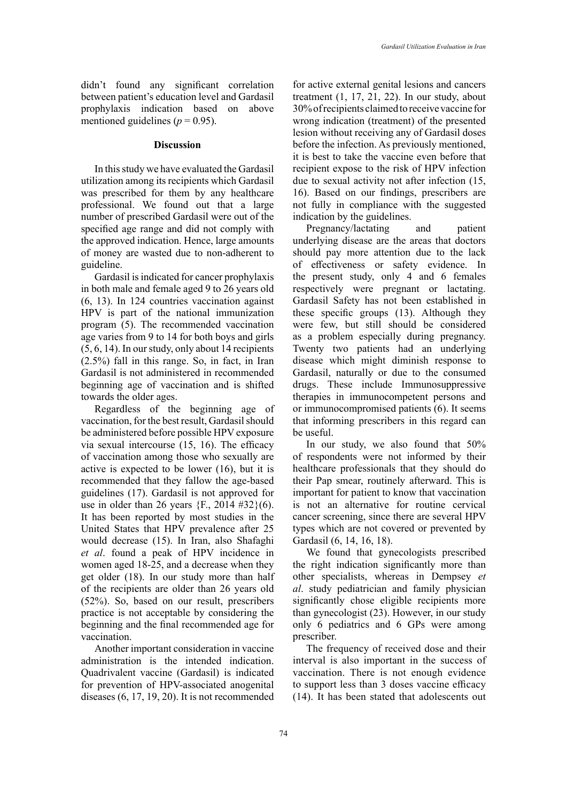didn't found any significant correlation between patient's education level and Gardasil prophylaxis indication based on above mentioned guidelines ( $p = 0.95$ ).

# **Discussion**

In this study we have evaluated the Gardasil utilization among its recipients which Gardasil was prescribed for them by any healthcare professional. We found out that a large number of prescribed Gardasil were out of the specified age range and did not comply with the approved indication. Hence, large amounts of money are wasted due to non-adherent to guideline.

Gardasil is indicated for cancer prophylaxis in both male and female aged 9 to 26 years old (6, 13). In 124 countries vaccination against HPV is part of the national immunization program (5). The recommended vaccination age varies from 9 to 14 for both boys and girls (5, 6, 14). In our study, only about 14 recipients (2.5%) fall in this range. So, in fact, in Iran Gardasil is not administered in recommended beginning age of vaccination and is shifted towards the older ages.

Regardless of the beginning age of vaccination, for the best result, Gardasil should be administered before possible HPV exposure via sexual intercourse (15, 16). The efficacy of vaccination among those who sexually are active is expected to be lower (16), but it is recommended that they fallow the age-based guidelines (17). Gardasil is not approved for use in older than 26 years  ${F, 2014 \#32}(6)$ . It has been reported by most studies in the United States that HPV prevalence after 25 would decrease (15). In Iran, also Shafaghi *et al*. found a peak of HPV incidence in women aged 18-25, and a decrease when they get older (18). In our study more than half of the recipients are older than 26 years old (52%). So, based on our result, prescribers practice is not acceptable by considering the beginning and the final recommended age for vaccination.

Another important consideration in vaccine administration is the intended indication. Quadrivalent vaccine (Gardasil) is indicated for prevention of HPV-associated anogenital diseases (6, 17, 19, 20). It is not recommended

for active external genital lesions and cancers treatment  $(1, 17, 21, 22)$ . In our study, about 30% of recipients claimed to receive vaccine for wrong indication (treatment) of the presented lesion without receiving any of Gardasil doses before the infection. As previously mentioned, it is best to take the vaccine even before that recipient expose to the risk of HPV infection due to sexual activity not after infection (15, 16). Based on our findings, prescribers are not fully in compliance with the suggested indication by the guidelines.

Pregnancy/lactating and patient underlying disease are the areas that doctors should pay more attention due to the lack of effectiveness or safety evidence. In the present study, only 4 and 6 females respectively were pregnant or lactating. Gardasil Safety has not been established in these specific groups (13). Although they were few, but still should be considered as a problem especially during pregnancy. Twenty two patients had an underlying disease which might diminish response to Gardasil, naturally or due to the consumed drugs. These include Immunosuppressive therapies in immunocompetent persons and or immunocompromised patients (6). It seems that informing prescribers in this regard can be useful.

In our study, we also found that 50% of respondents were not informed by their healthcare professionals that they should do their Pap smear, routinely afterward. This is important for patient to know that vaccination is not an alternative for routine cervical cancer screening, since there are several HPV types which are not covered or prevented by Gardasil (6, 14, 16, 18).

We found that gynecologists prescribed the right indication significantly more than other specialists, whereas in Dempsey *et al*. study pediatrician and family physician significantly chose eligible recipients more than gynecologist (23). However, in our study only 6 pediatrics and 6 GPs were among prescriber.

The frequency of received dose and their interval is also important in the success of vaccination. There is not enough evidence to support less than 3 doses vaccine efficacy (14). It has been stated that adolescents out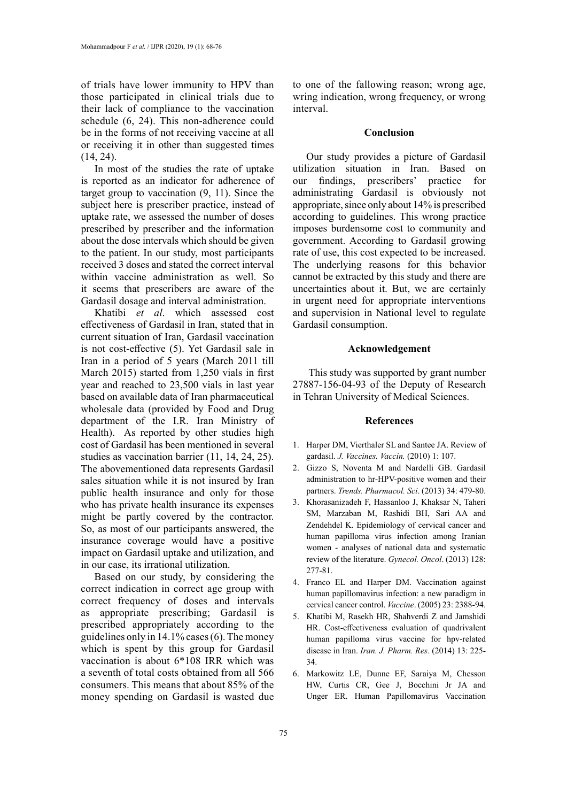of trials have lower immunity to HPV than those participated in clinical trials due to their lack of compliance to the vaccination schedule (6, 24). This non-adherence could be in the forms of not receiving vaccine at all or receiving it in other than suggested times (14, 24).

In most of the studies the rate of uptake is reported as an indicator for adherence of target group to vaccination (9, 11). Since the subject here is prescriber practice, instead of uptake rate, we assessed the number of doses prescribed by prescriber and the information about the dose intervals which should be given to the patient. In our study, most participants received 3 doses and stated the correct interval within vaccine administration as well. So it seems that prescribers are aware of the Gardasil dosage and interval administration.

Khatibi *et al*. which assessed cost effectiveness of Gardasil in Iran, stated that in current situation of Iran, Gardasil vaccination is not cost-effective (5). Yet Gardasil sale in Iran in a period of 5 years (March 2011 till March 2015) started from 1,250 vials in first year and reached to 23,500 vials in last year based on available data of Iran pharmaceutical wholesale data (provided by Food and Drug department of the I.R. Iran Ministry of Health). As reported by other studies high cost of Gardasil has been mentioned in several studies as vaccination barrier (11, 14, 24, 25). The abovementioned data represents Gardasil sales situation while it is not insured by Iran public health insurance and only for those who has private health insurance its expenses might be partly covered by the contractor. So, as most of our participants answered, the insurance coverage would have a positive impact on Gardasil uptake and utilization, and in our case, its irrational utilization.

Based on our study, by considering the correct indication in correct age group with correct frequency of doses and intervals as appropriate prescribing; Gardasil is prescribed appropriately according to the guidelines only in 14.1% cases (6). The money which is spent by this group for Gardasil vaccination is about 6\*108 IRR which was a seventh of total costs obtained from all 566 consumers. This means that about 85% of the money spending on Gardasil is wasted due

to one of the fallowing reason; wrong age, wring indication, wrong frequency, or wrong interval.

# **Conclusion**

Our study provides a picture of Gardasil utilization situation in Iran. Based on our findings, prescribers' practice for administrating Gardasil is obviously not appropriate, since only about 14% is prescribed according to guidelines. This wrong practice imposes burdensome cost to community and government. According to Gardasil growing rate of use, this cost expected to be increased. The underlying reasons for this behavior cannot be extracted by this study and there are uncertainties about it. But, we are certainly in urgent need for appropriate interventions and supervision in National level to regulate Gardasil consumption.

# **Acknowledgement**

 This study was supported by grant number 27887-156-04-93 of the Deputy of Research in Tehran University of Medical Sciences.

## **References**

- 1. Harper DM, Vierthaler SL and Santee JA. Review of gardasil. *J. Vaccines. Vaccin.* (2010) 1: 107.
- 2. Gizzo S, Noventa M and Nardelli GB. Gardasil administration to hr-HPV-positive women and their partners. *Trends. Pharmacol. Sci*. (2013) 34: 479-80.
- 3. Khorasanizadeh F, Hassanloo J, Khaksar N, Taheri SM, Marzaban M, Rashidi BH, Sari AA and Zendehdel K. Epidemiology of cervical cancer and human papilloma virus infection among Iranian women - analyses of national data and systematic review of the literature. *Gynecol. Oncol*. (2013) 128: 277-81.
- 4. Franco EL and Harper DM. Vaccination against human papillomavirus infection: a new paradigm in cervical cancer control. *Vaccine*. (2005) 23: 2388-94.
- 5. Khatibi M, Rasekh HR, Shahverdi Z and Jamshidi HR. Cost-effectiveness evaluation of quadrivalent human papilloma virus vaccine for hpv-related disease in Iran. *Iran. J. Pharm. Res.* (2014) 13: 225- 34.
- 6. Markowitz LE, Dunne EF, Saraiya M, Chesson HW, Curtis CR, Gee J, Bocchini Jr JA and Unger ER. Human Papillomavirus Vaccination